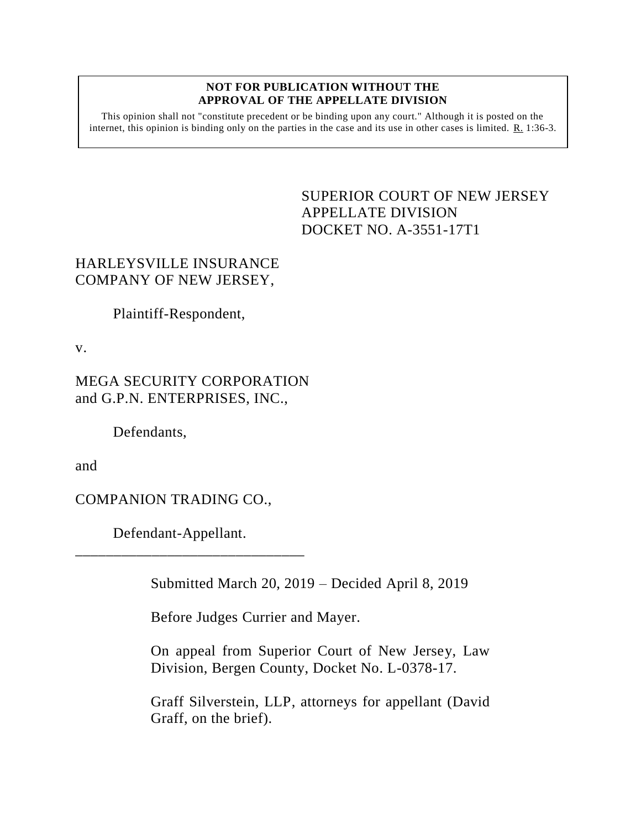## **NOT FOR PUBLICATION WITHOUT THE APPROVAL OF THE APPELLATE DIVISION**

This opinion shall not "constitute precedent or be binding upon any court." Although it is posted on the internet, this opinion is binding only on the parties in the case and its use in other cases is limited.  $R_1$  1:36-3.

## <span id="page-0-0"></span>SUPERIOR COURT OF NEW JERSEY APPELLATE DIVISION DOCKET NO. A-3551-17T1

## HARLEYSVILLE INSURANCE COMPANY OF NEW JERSEY,

Plaintiff-Respondent,

v.

MEGA SECURITY CORPORATION and G.P.N. ENTERPRISES, INC.,

Defendants,

and

COMPANION TRADING CO.,

Defendant-Appellant.

\_\_\_\_\_\_\_\_\_\_\_\_\_\_\_\_\_\_\_\_\_\_\_\_\_\_\_\_\_\_

Submitted March 20, 2019 – Decided April 8, 2019

Before Judges Currier and Mayer.

On appeal from Superior Court of New Jersey, Law Division, Bergen County, Docket No. L-0378-17.

Graff Silverstein, LLP, attorneys for appellant (David Graff, on the brief).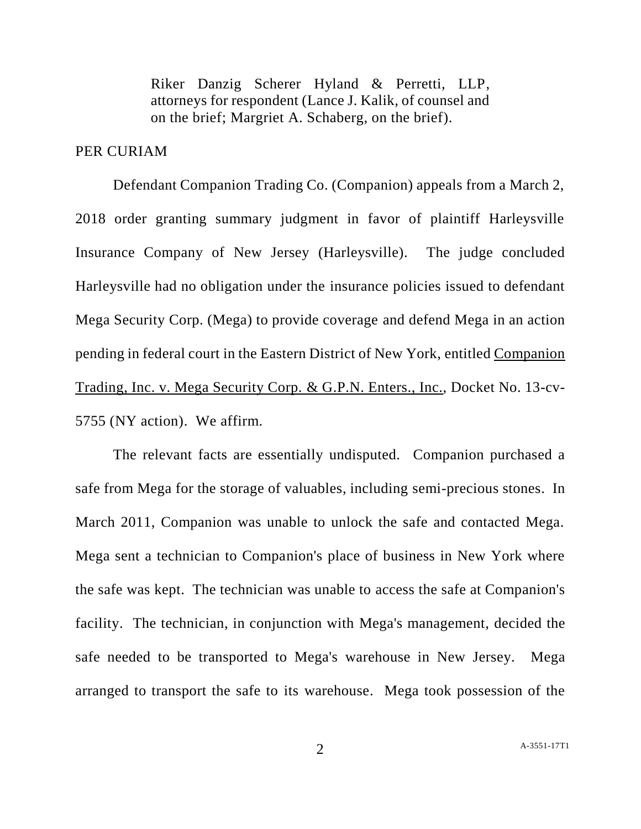Riker Danzig Scherer Hyland & Perretti, LLP, attorneys for respondent (Lance J. Kalik, of counsel and on the brief; Margriet A. Schaberg, on the brief).

## PER CURIAM

Defendant Companion Trading Co. (Companion) appeals from a March 2, 2018 order granting summary judgment in favor of plaintiff Harleysville Insurance Company of New Jersey (Harleysville). The judge concluded Harleysville had no obligation under the insurance policies issued to defendant Mega Security Corp. (Mega) to provide coverage and defend Mega in an action pending in federal court in the Eastern District of New York, entitled Companion Trading, Inc. v. Mega Security Corp. & G.P.N. Enters., Inc., Docket No. 13-cv-5755 (NY action). We affirm.

The relevant facts are essentially undisputed. Companion purchased a safe from Mega for the storage of valuables, including semi-precious stones. In March 2011, Companion was unable to unlock the safe and contacted Mega. Mega sent a technician to Companion's place of business in New York where the safe was kept. The technician was unable to access the safe at Companion's facility. The technician, in conjunction with Mega's management, decided the safe needed to be transported to Mega's warehouse in New Jersey. Mega arranged to transport the safe to its warehouse. Mega took possession of the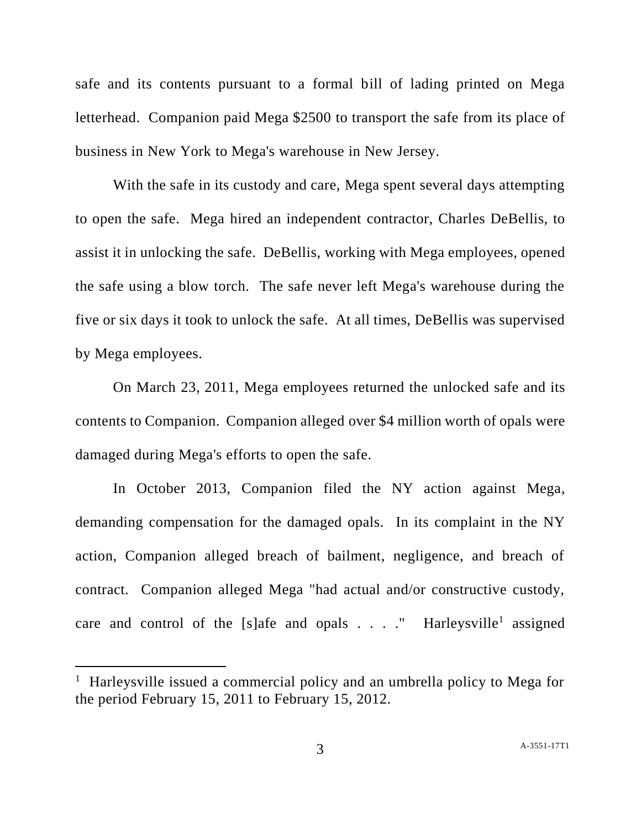safe and its contents pursuant to a formal bill of lading printed on Mega letterhead. Companion paid Mega \$2500 to transport the safe from its place of business in New York to Mega's warehouse in New Jersey.

With the safe in its custody and care, Mega spent several days attempting to open the safe. Mega hired an independent contractor, Charles DeBellis, to assist it in unlocking the safe. DeBellis, working with Mega employees, opened the safe using a blow torch. The safe never left Mega's warehouse during the five or six days it took to unlock the safe. At all times, DeBellis was supervised by Mega employees.

On March 23, 2011, Mega employees returned the unlocked safe and its contents to Companion. Companion alleged over \$4 million worth of opals were damaged during Mega's efforts to open the safe.

In October 2013, Companion filed the NY action against Mega, demanding compensation for the damaged opals. In its complaint in the NY action, Companion alleged breach of bailment, negligence, and breach of contract. Companion alleged Mega "had actual and/or constructive custody, care and control of the [s]afe and opals  $\ldots$  ." Harleysville<sup>1</sup> assigned

l

<sup>&</sup>lt;sup>1</sup> Harleysville issued a commercial policy and an umbrella policy to Mega for the period February 15, 2011 to February 15, 2012.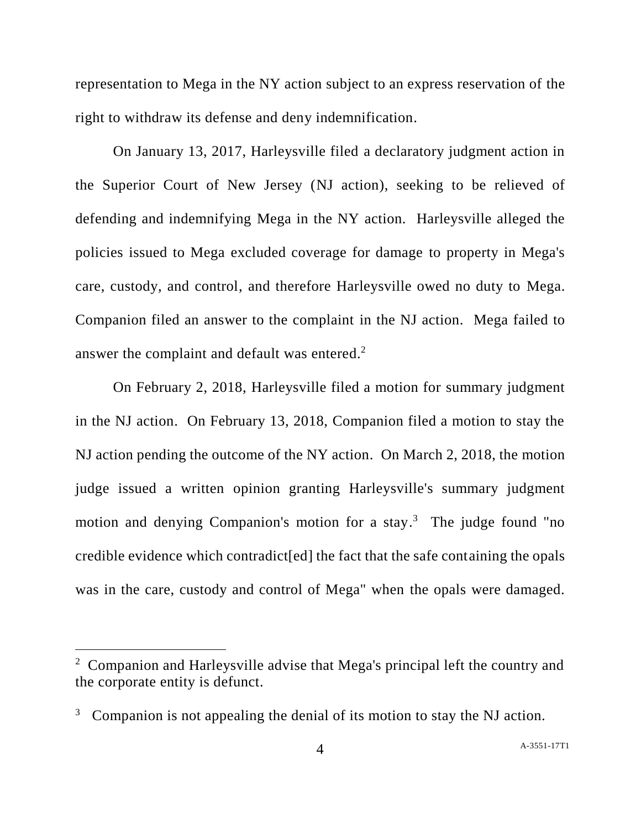representation to Mega in the NY action subject to an express reservation of the right to withdraw its defense and deny indemnification.

On January 13, 2017, Harleysville filed a declaratory judgment action in the Superior Court of New Jersey (NJ action), seeking to be relieved of defending and indemnifying Mega in the NY action. Harleysville alleged the policies issued to Mega excluded coverage for damage to property in Mega's care, custody, and control, and therefore Harleysville owed no duty to Mega. Companion filed an answer to the complaint in the NJ action. Mega failed to answer the complaint and default was entered.<sup>2</sup>

On February 2, 2018, Harleysville filed a motion for summary judgment in the NJ action. On February 13, 2018, Companion filed a motion to stay the NJ action pending the outcome of the NY action. On March 2, 2018, the motion judge issued a written opinion granting Harleysville's summary judgment motion and denying Companion's motion for a stay. <sup>3</sup> The judge found "no credible evidence which contradict[ed] the fact that the safe containing the opals was in the care, custody and control of Mega" when the opals were damaged.

l

<sup>&</sup>lt;sup>2</sup> Companion and Harleysville advise that Mega's principal left the country and the corporate entity is defunct.

<sup>3</sup> Companion is not appealing the denial of its motion to stay the NJ action.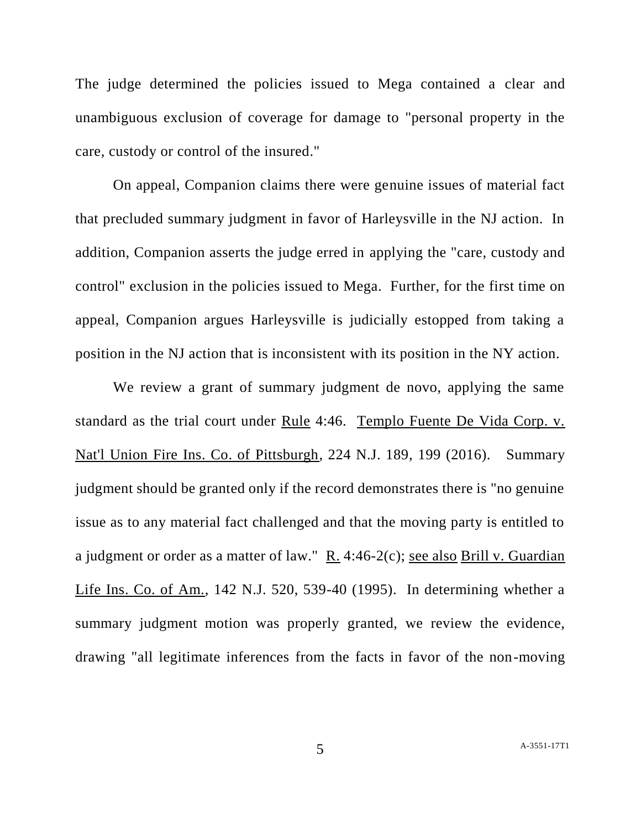The judge determined the policies issued to Mega contained a clear and unambiguous exclusion of coverage for damage to "personal property in the care, custody or control of the insured."

On appeal, Companion claims there were genuine issues of material fact that precluded summary judgment in favor of Harleysville in the NJ action. In addition, Companion asserts the judge erred in applying the "care, custody and control" exclusion in the policies issued to Mega. Further, for the first time on appeal, Companion argues Harleysville is judicially estopped from taking a position in the NJ action that is inconsistent with its position in the NY action.

We review a grant of summary judgment de novo, applying the same standard as the trial court under Rule 4:46. Templo Fuente De Vida Corp. v. Nat'l Union Fire Ins. Co. of Pittsburgh, 224 N.J. 189, 199 (2016). Summary judgment should be granted only if the record demonstrates there is "no genuine issue as to any material fact challenged and that the moving party is entitled to a judgment or order as a matter of law." R. 4:46-2(c); see also Brill v. Guardian Life Ins. Co. of Am., 142 N.J. 520, 539-40 (1995). In determining whether a summary judgment motion was properly granted, we review the evidence, drawing "all legitimate inferences from the facts in favor of the non-moving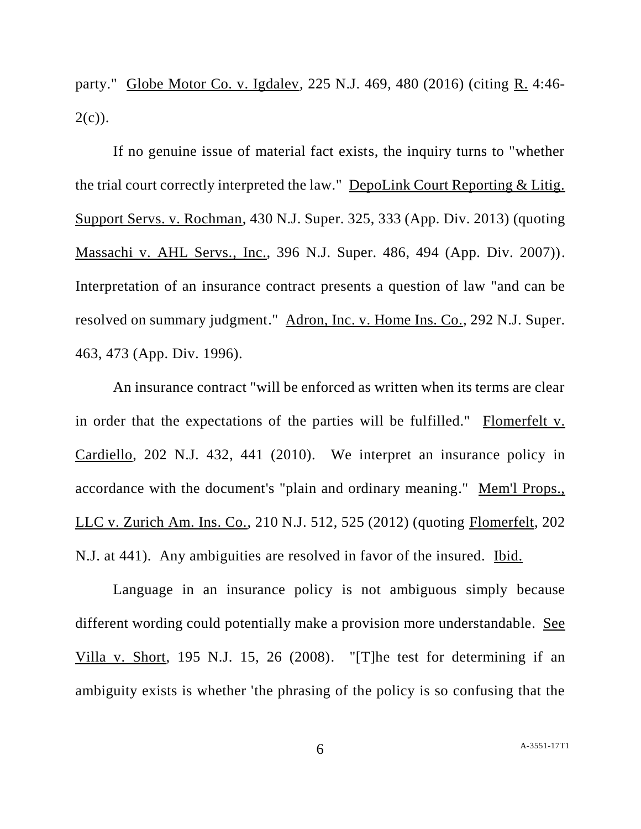party." Globe Motor Co. v. Igdalev, 225 N.J. 469, 480 (2016) (citing R. 4:46-  $2(c)$ ).

If no genuine issue of material fact exists, the inquiry turns to "whether the trial court correctly interpreted the law." DepoLink Court Reporting & Litig. Support Servs. v. Rochman, 430 N.J. Super. 325, 333 (App. Div. 2013) (quoting Massachi v. AHL Servs., Inc., 396 N.J. Super. 486, 494 (App. Div. 2007)). Interpretation of an insurance contract presents a question of law "and can be resolved on summary judgment." Adron, Inc. v. Home Ins. Co., 292 N.J. Super. 463, 473 (App. Div. 1996).

An insurance contract "will be enforced as written when its terms are clear in order that the expectations of the parties will be fulfilled." Flomerfelt v. Cardiello, 202 N.J. 432, 441 (2010). We interpret an insurance policy in accordance with the document's "plain and ordinary meaning." Mem'l Props., LLC v. Zurich Am. Ins. Co., 210 N.J. 512, 525 (2012) (quoting Flomerfelt, 202 N.J. at 441). Any ambiguities are resolved in favor of the insured. Ibid.

Language in an insurance policy is not ambiguous simply because different wording could potentially make a provision more understandable. See Villa v. Short, 195 N.J. 15, 26 (2008). "[T]he test for determining if an ambiguity exists is whether 'the phrasing of the policy is so confusing that the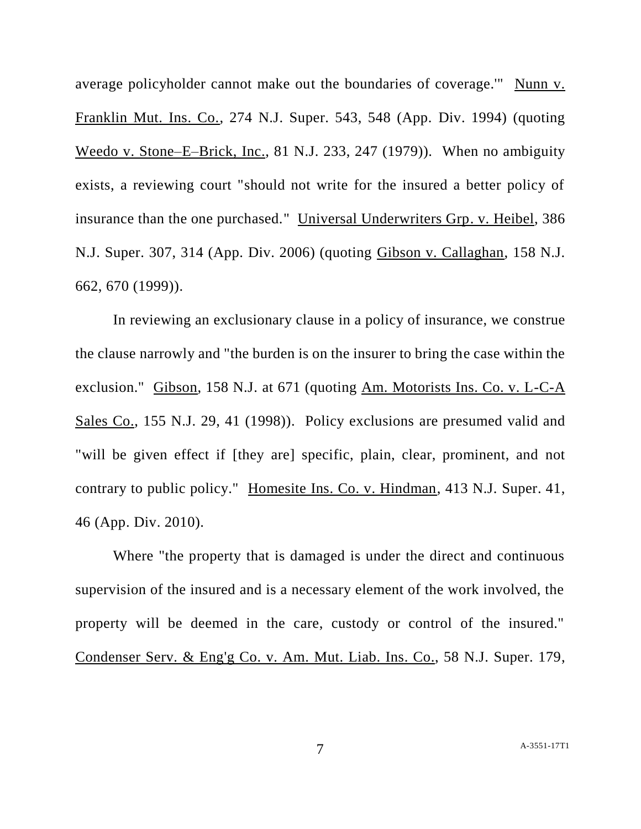average policyholder cannot make out the boundaries of coverage.'" Nunn v. Franklin Mut. Ins. Co., 274 N.J. Super. 543, 548 (App. Div. 1994) (quoting Weedo v. Stone–E–Brick, Inc., 81 N.J. 233, 247 (1979)). When no ambiguity exists, a reviewing court "should not write for the insured a better policy of insurance than the one purchased." Universal Underwriters Grp. v. Heibel, 386 N.J. Super. 307, 314 (App. Div. 2006) (quoting Gibson v. Callaghan, 158 N.J. 662, 670 (1999)).

In reviewing an exclusionary clause in a policy of insurance, we construe the clause narrowly and "the burden is on the insurer to bring the case within the exclusion." Gibson, 158 N.J. at 671 (quoting Am. Motorists Ins. Co. v. L-C-A Sales Co., 155 N.J. 29, 41 (1998)). Policy exclusions are presumed valid and "will be given effect if [they are] specific, plain, clear, prominent, and not contrary to public policy." Homesite Ins. Co. v. Hindman, 413 N.J. Super. 41, 46 (App. Div. 2010).

Where "the property that is damaged is under the direct and continuous supervision of the insured and is a necessary element of the work involved, the property will be deemed in the care, custody or control of the insured." Condenser Serv. & Eng'g Co. v. Am. Mut. Liab. Ins. Co., 58 N.J. Super. 179,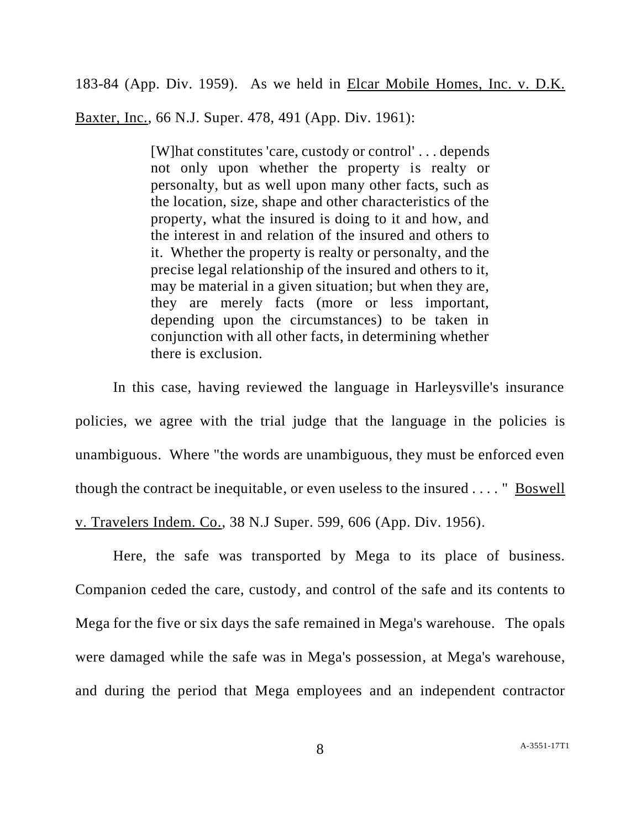183-84 (App. Div. 1959). As we held in Elcar Mobile Homes, Inc. v. D.K.

Baxter, Inc., 66 N.J. Super. 478, 491 (App. Div. 1961):

[W]hat constitutes 'care, custody or control' . . . depends not only upon whether the property is realty or personalty, but as well upon many other facts, such as the location, size, shape and other characteristics of the property, what the insured is doing to it and how, and the interest in and relation of the insured and others to it. Whether the property is realty or personalty, and the precise legal relationship of the insured and others to it, may be material in a given situation; but when they are, they are merely facts (more or less important, depending upon the circumstances) to be taken in conjunction with all other facts, in determining whether there is exclusion.

In this case, having reviewed the language in Harleysville's insurance policies, we agree with the trial judge that the language in the policies is unambiguous. Where "the words are unambiguous, they must be enforced even though the contract be inequitable, or even useless to the insured . . . . " Boswell v. Travelers Indem. Co., 38 N.J Super. 599, 606 (App. Div. 1956).

Here, the safe was transported by Mega to its place of business. Companion ceded the care, custody, and control of the safe and its contents to Mega for the five or six days the safe remained in Mega's warehouse. The opals were damaged while the safe was in Mega's possession, at Mega's warehouse, and during the period that Mega employees and an independent contractor